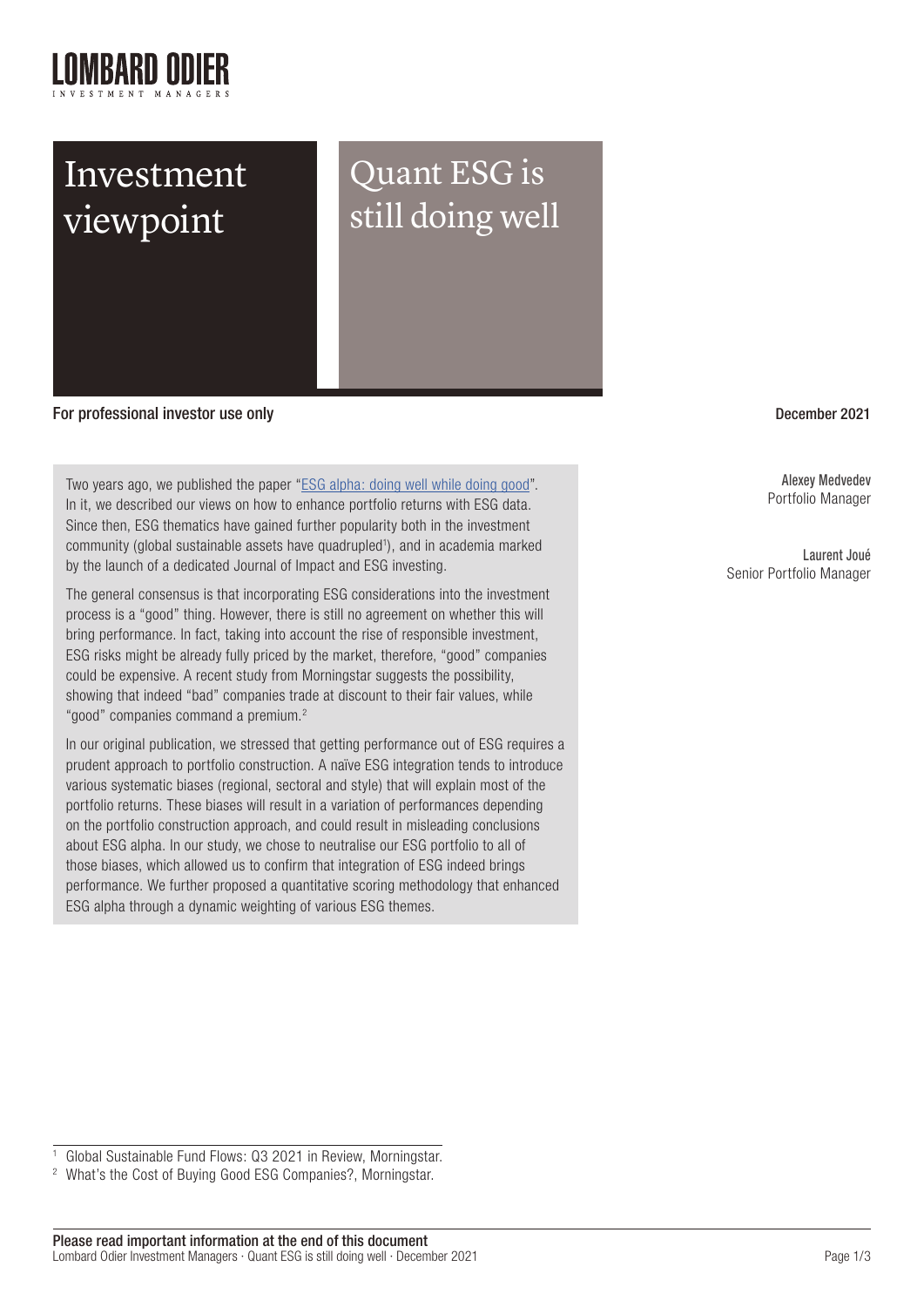

## Investment viewpoint

Quant ESG is still doing well

For professional investor use only experience of the control of the control of the December 2021 and December 2021

Two years ago, we published the paper ["ESG alpha: doing well while doing good](https://am.lombardodier.com/files/live/sites/am/files/images/AssetManagement/Investment%20strategies/Alternative%20Risk%20Premia/ESG%20alpha%20-%20doing%20well%20while%20doing%20good_EU.pdf)". In it, we described our views on how to enhance portfolio returns with ESG data. Since then, ESG thematics have gained further popularity both in the investment community (global sustainable assets have quadrupled<sup>1</sup>), and in academia marked by the launch of a dedicated Journal of Impact and ESG investing.

The general consensus is that incorporating ESG considerations into the investment process is a "good" thing. However, there is still no agreement on whether this will bring performance. In fact, taking into account the rise of responsible investment, ESG risks might be already fully priced by the market, therefore, "good" companies could be expensive. A recent study from Morningstar suggests the possibility, showing that indeed "bad" companies trade at discount to their fair values, while "good" companies command a premium.<sup>2</sup>

In our original publication, we stressed that getting performance out of ESG requires a prudent approach to portfolio construction. A naïve ESG integration tends to introduce various systematic biases (regional, sectoral and style) that will explain most of the portfolio returns. These biases will result in a variation of performances depending on the portfolio construction approach, and could result in misleading conclusions about ESG alpha. In our study, we chose to neutralise our ESG portfolio to all of those biases, which allowed us to confirm that integration of ESG indeed brings performance. We further proposed a quantitative scoring methodology that enhanced ESG alpha through a dynamic weighting of various ESG themes.

Alexey Medvedev Portfolio Manager

Laurent Joué Senior Portfolio Manager

<sup>2</sup> What's the Cost of Buying Good ESG Companies?, Morningstar.

<sup>1</sup> Global Sustainable Fund Flows: Q3 2021 in Review, Morningstar.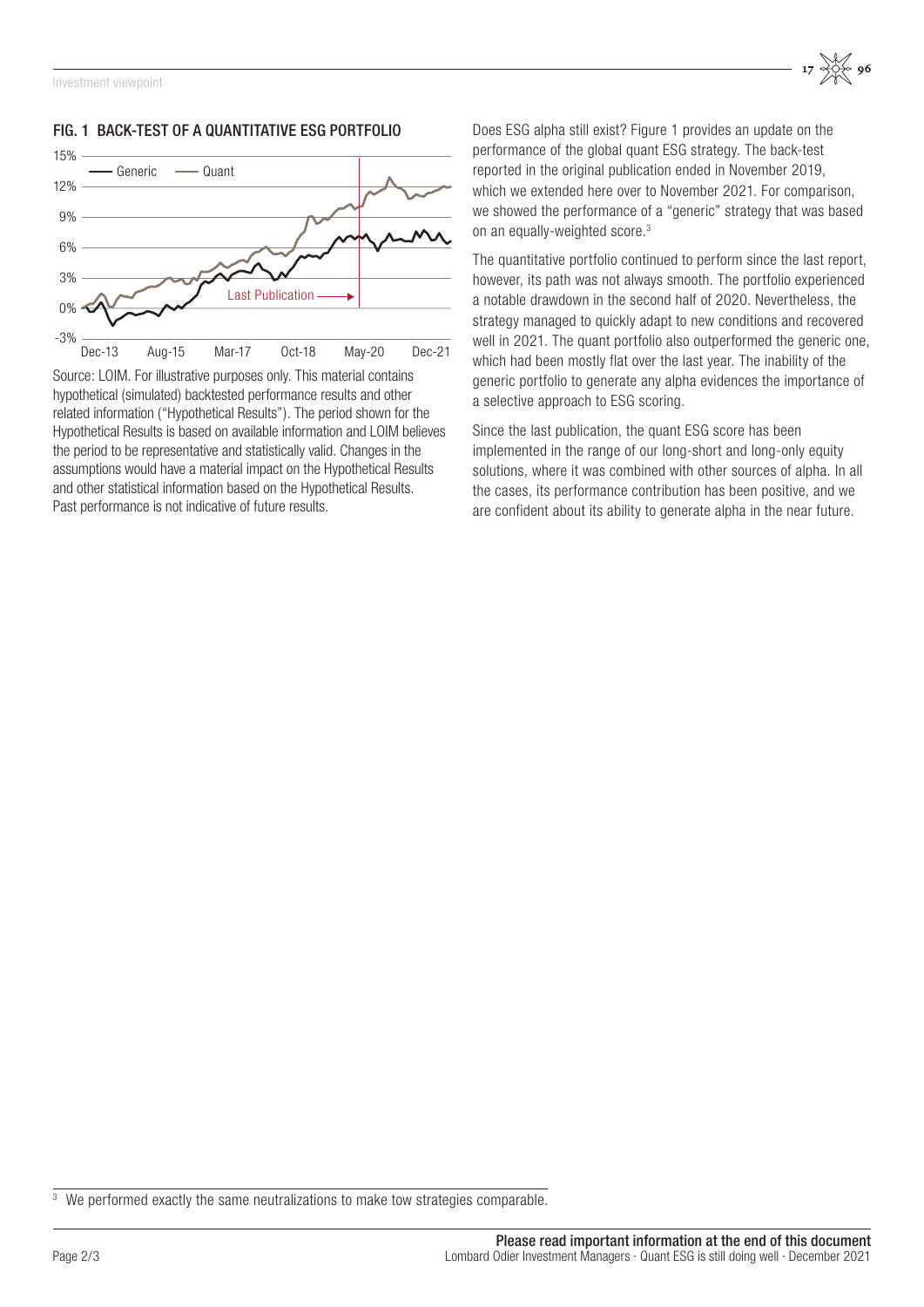

## FIG. 1 BACK-TEST OF A QUANTITATIVE ESG PORTFOLIO

Source: LOIM. For illustrative purposes only. This material contains hypothetical (simulated) backtested performance results and other related information ("Hypothetical Results"). The period shown for the Hypothetical Results is based on available information and LOIM believes the period to be representative and statistically valid. Changes in the assumptions would have a material impact on the Hypothetical Results and other statistical information based on the Hypothetical Results. Past performance is not indicative of future results.

Does ESG alpha still exist? Figure 1 provides an update on the performance of the global quant ESG strategy. The back-test reported in the original publication ended in November 2019, which we extended here over to November 2021. For comparison, we showed the performance of a "generic" strategy that was based on an equally-weighted score.3

The quantitative portfolio continued to perform since the last report, however, its path was not always smooth. The portfolio experienced a notable drawdown in the second half of 2020. Nevertheless, the strategy managed to quickly adapt to new conditions and recovered well in 2021. The quant portfolio also outperformed the generic one. which had been mostly flat over the last year. The inability of the generic portfolio to generate any alpha evidences the importance of a selective approach to ESG scoring.

Since the last publication, the quant ESG score has been implemented in the range of our long-short and long-only equity solutions, where it was combined with other sources of alpha. In all the cases, its performance contribution has been positive, and we are confident about its ability to generate alpha in the near future.

<sup>&</sup>lt;sup>3</sup> We performed exactly the same neutralizations to make tow strategies comparable.